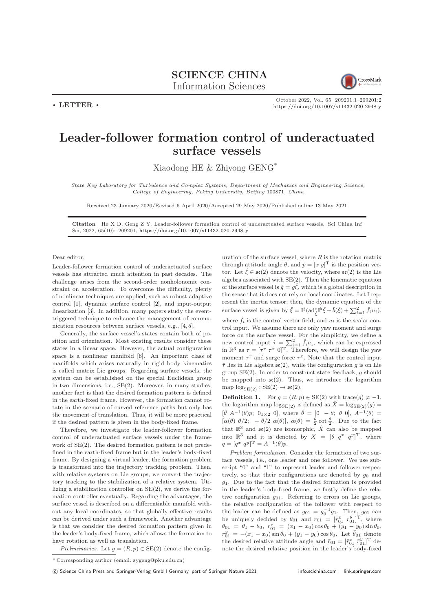$\cdot$  LETTER  $\cdot$ 



October 2022, Vol. 65 209201:1–209201[:2](#page-1-0) <https://doi.org/10.1007/s11432-020-2948-y>

## Leader-follower formation control of underactuated surface vessels

Xiaodong HE & Zhiyong GENG\*

State Key Laboratory for Turbulence and Complex Systems, Department of Mechanics and Engineering Science, College of Engineering, Peking University, Beijing 100871, China

Received 23 January 2020/Revised 6 April 2020/Accepted 29 May 2020/Published online 13 May 2021

Citation He X D, Geng Z Y. Leader-follower formation control of underactuated surface vessels. Sci China Inf Sci, 2022, 65(10): 209201, <https://doi.org/10.1007/s11432-020-2948-y>

Dear editor,

Leader-follower formation control of underactuated surface vessels has attracted much attention in past decades. The challenge arises from the second-order nonholonomic constraint on acceleration. To overcome the difficulty, plenty of nonlinear techniques are applied, such as robust adaptive control [\[1\]](#page-1-1), dynamic surface control [\[2\]](#page-1-2), and input-output linearization [\[3\]](#page-1-3). In addition, many papers study the eventtriggered technique to enhance the management of communication resources between surface vessels, e.g., [\[4,](#page-1-4) [5\]](#page-1-5).

Generally, the surface vessel's states contain both of position and orientation. Most existing results consider these states in a linear space. However, the actual configuration space is a nonlinear manifold [\[6\]](#page-1-6). An important class of manifolds which arises naturally in rigid body kinematics is called matrix Lie groups. Regarding surface vessels, the system can be established on the special Euclidean group in two dimensions, i.e., SE(2). Moreover, in many studies, another fact is that the desired formation pattern is defined in the earth-fixed frame. However, the formation cannot rotate in the scenario of curved reference paths but only has the movement of translation. Thus, it will be more practical if the desired pattern is given in the body-fixed frame.

Therefore, we investigate the leader-follower formation control of underactuated surface vessels under the framework of SE(2). The desired formation pattern is not predefined in the earth-fixed frame but in the leader's body-fixed frame. By designing a virtual leader, the formation problem is transformed into the trajectory tracking problem. Then, with relative systems on Lie groups, we convert the trajectory tracking to the stabilization of a relative system. Utilizing a stabilization controller on SE(2), we derive the formation controller eventually. Regarding the advantages, the surface vessel is described on a differentiable manifold without any local coordinates, so that globally effective results can be derived under such a framework. Another advantage is that we consider the desired formation pattern given in the leader's body-fixed frame, which allows the formation to have rotation as well as translation.

Preliminaries. Let  $g = (R, p) \in SE(2)$  denote the config-

uration of the surface vessel, where  $R$  is the rotation matrix through attitude angle  $\theta$ , and  $p = [x \ y]^T$  is the position vector. Let  $\hat{\xi} \in \mathfrak{se}(2)$  denote the velocity, where  $\mathfrak{se}(2)$  is the Lie algebra associated with SE(2). Then the kinematic equation of the surface vessel is  $\dot{g} = g\hat{\xi}$ , which is a global description in the sense that it does not rely on local coordinates. Let I represent the inertia tensor; then, the dynamic equation of the surface vessel is given by  $\dot{\hat{\xi}} = \mathbb{I}^{\sharp}(\text{ad}_{\hat{\xi}}^{*\mathbb{I}^{\flat}} \hat{\xi} + \hat{b}(\hat{\xi}) + \sum_{i=1}^{2} \hat{f}_{i} u_{i}),$ where  $\hat{f}_i$  is the control vector field, and  $u_i$  is the scalar control input. We assume there are only yaw moment and surge force on the surface vessel. For the simplicity, we define a new control input  $\hat{\tau} = \sum_{i=1}^{2} \hat{f}_i u_i$ , which can be expressed in  $\mathbb{R}^3$  as  $\tau = [\tau^r \ \tau^x \ 0]^T$ . Therefore, we will design the yaw moment  $\tau^r$  and surge force  $\tau^x$ . Note that the control input  $\hat{\tau}$  lies in Lie algebra  $\mathfrak{se}(2)$ , while the configuration g is on Lie group  $SE(2)$ . In order to construct state feedback, g should be mapped into  $\mathfrak{se}(2)$ . Thus, we introduce the logarithm map  $\log_{SE(2)} : SE(2) \rightarrow \mathfrak{se}(2)$ .

**Definition 1.** For  $g = (R, p) \in SE(2)$  with trace $(g) \neq -1$ , the logarithm map  $\log_{SE(2)}$  is defined as  $\hat{X} = \log_{SE(2)}(g)$  =  $[\hat{\theta} \ A^{-1}(\theta)p; 0_{1\times 2} 0],$  where  $\hat{\theta} = [0 - \theta; \ \theta \ 0], A^{-1}(\theta) =$  $[\alpha(\theta) \ \theta/2; \ -\theta/2 \ \alpha(\theta)], \ \alpha(\theta) = \frac{\theta}{2} \cot \frac{\theta}{2}.$  Due to the fact that  $\mathbb{R}^3$  and  $\mathfrak{se}(2)$  are isomorphic,  $\hat{X}$  can also be mapped into  $\mathbb{R}^3$  and it is denoted by  $X = \begin{bmatrix} \theta & q^x & q^y \end{bmatrix}^T$ , where  $q = [q^x \ q^y]^\text{T} = A^{-1}(\theta)p.$ 

Problem formulation. Consider the formation of two surface vessels, i.e., one leader and one follower. We use subscript "0" and "1" to represent leader and follower respectively, so that their configurations are denoted by  $g_0$  and  $g_1$ . Due to the fact that the desired formation is provided in the leader's body-fixed frame, we firstly define the relative configuration  $g_{01}$ . Referring to errors on Lie groups, the relative configuration of the follower with respect to the leader can be defined as  $g_{01} = g_0^{-1}g_1$ . Then,  $g_{01}$  can be uniquely decided by  $\theta_{01}$  and  $r_{01} = [r_{01}^x \ r_{01}^y]^T$ , where  $\theta_{01} = \theta_1 - \theta_0, r_{01}^x = (x_1 - x_0) \cos \theta_0 + (y_1 - y_0) \sin \theta_0,$  $r_{01}^y = -(x_1 - x_0) \sin \theta_0 + (y_1 - y_0) \cos \theta_0$ . Let  $\bar{\theta}_{01}$  denote the desired relative attitude angle and  $\bar{r}_{01} = [\bar{r}_{01}^x \ \bar{r}_{01}^y]^T$  denote the desired relative position in the leader's body-fixed

<sup>\*</sup> Corresponding author (email: zygeng@pku.edu.cn)

<sup>(</sup>C) Science China Press and Springer-Verlag GmbH Germany, part of Springer Nature 2021 <info.scichina.com><link.springer.com>